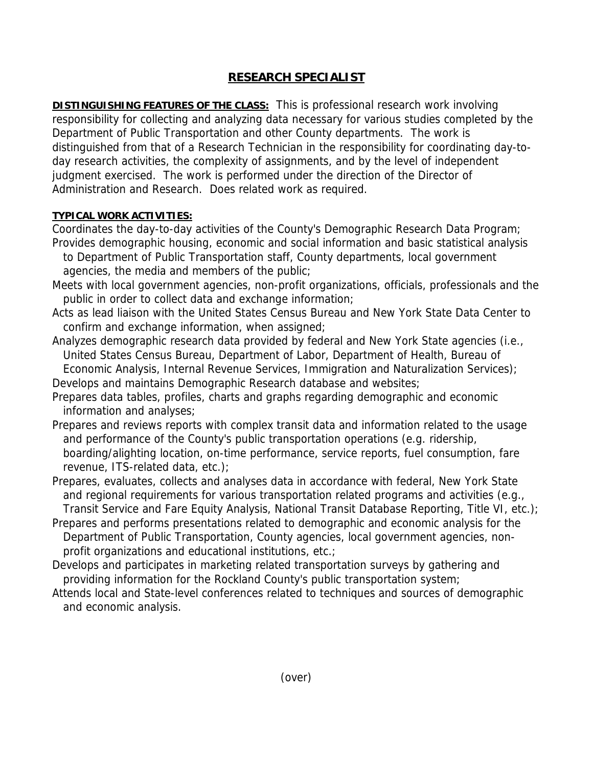## **RESEARCH SPECIALIST**

**DISTINGUISHING FEATURES OF THE CLASS:** This is professional research work involving responsibility for collecting and analyzing data necessary for various studies completed by the Department of Public Transportation and other County departments. The work is distinguished from that of a Research Technician in the responsibility for coordinating day-today research activities, the complexity of assignments, and by the level of independent judgment exercised. The work is performed under the direction of the Director of Administration and Research. Does related work as required.

## **TYPICAL WORK ACTIVITIES:**

Coordinates the day-to-day activities of the County's Demographic Research Data Program; Provides demographic housing, economic and social information and basic statistical analysis

- to Department of Public Transportation staff, County departments, local government agencies, the media and members of the public;
- Meets with local government agencies, non-profit organizations, officials, professionals and the public in order to collect data and exchange information;
- Acts as lead liaison with the United States Census Bureau and New York State Data Center to confirm and exchange information, when assigned;
- Analyzes demographic research data provided by federal and New York State agencies (i.e., United States Census Bureau, Department of Labor, Department of Health, Bureau of Economic Analysis, Internal Revenue Services, Immigration and Naturalization Services);

Develops and maintains Demographic Research database and websites;

- Prepares data tables, profiles, charts and graphs regarding demographic and economic information and analyses;
- Prepares and reviews reports with complex transit data and information related to the usage and performance of the County's public transportation operations (e.g. ridership, boarding/alighting location, on-time performance, service reports, fuel consumption, fare revenue, ITS-related data, etc.);
- Prepares, evaluates, collects and analyses data in accordance with federal, New York State and regional requirements for various transportation related programs and activities (e.g., Transit Service and Fare Equity Analysis, National Transit Database Reporting, Title VI, etc.);
- Prepares and performs presentations related to demographic and economic analysis for the Department of Public Transportation, County agencies, local government agencies, non profit organizations and educational institutions, etc.;
- Develops and participates in marketing related transportation surveys by gathering and providing information for the Rockland County's public transportation system;
- Attends local and State-level conferences related to techniques and sources of demographic and economic analysis.